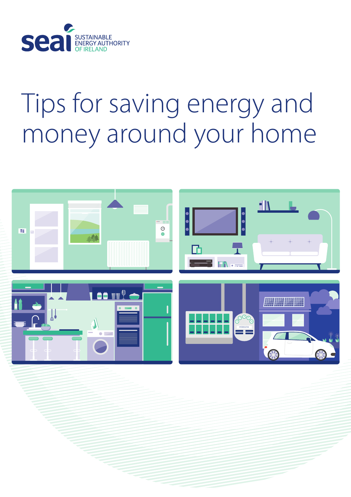

# Tips for saving energy and money around your home

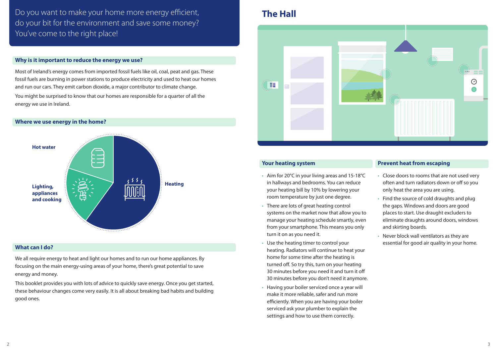Do you want to make your home more energy efficient, do your bit for the environment and save some money? You've come to the right place!

#### **Why is it important to reduce the energy we use?**

Most of Ireland's energy comes from imported fossil fuels like oil, coal, peat and gas. These fossil fuels are burning in power stations to produce electricity and used to heat our homes and run our cars. They emit carbon dioxide, a major contributor to climate change. You might be surprised to know that our homes are responsible for a quarter of all the energy we use in Ireland.

#### **Where we use energy in the home?**



#### **What can I do?**

We all require energy to heat and light our homes and to run our home appliances. By focusing on the main energy-using areas of your home, there's great potential to save energy and money.

This booklet provides you with lots of advice to quickly save energy. Once you get started, these behaviour changes come very easily. It is all about breaking bad habits and building good ones.

# **The Hall**



#### **Your heating system**

- Aim for 20°C in your living areas and 15-18°C in hallways and bedrooms. You can reduce your heating bill by 10% by lowering your room temperature by just one degree.
- There are lots of great heating control systems on the market now that allow you to manage your heating schedule smartly, even from your smartphone. This means you only turn it on as you need it.
- Use the heating timer to control your heating. Radiators will continue to heat your home for some time after the heating is turned off. So try this, turn on your heating 30 minutes before you need it and turn it off 30 minutes before you don't need it anymore.
- Having your boiler serviced once a year will make it more reliable, safer and run more efficiently. When you are having your boiler serviced ask your plumber to explain the settings and how to use them correctly.

#### **Prevent heat from escaping**

- Close doors to rooms that are not used very often and turn radiators down or off so you only heat the area you are using.
- Find the source of cold draughts and plug the gaps. Windows and doors are good places to start. Use draught excluders to eliminate draughts around doors, windows and skirting boards.
- Never block wall ventilators as they are essential for good air quality in your home.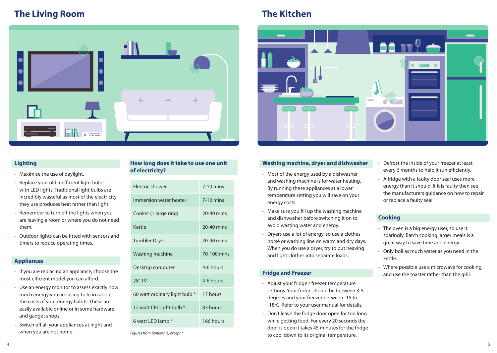# **The Living Room The Kitchen**



### **Lighting**

- Maximise the use of daylight.
- Replace your old inefficient light bulbs with LED lights. Traditional light bulbs are incredibly wasteful as most of the electricity they use produces heat rather than light!
- Remember to turn off the lights when you are leaving a room or where you do not need them.
- Outdoor lights can be fitted with sensors and timers to reduce operating times.

### **Appliances**

- If you are replacing an appliance, choose the most efficient model you can afford.
- Use an energy monitor to assess exactly how much energy you are using to learn about the costs of your energy habits. These are easily available online or in some hardware and gadget shops.
- Switch off all your appliances at night and when you are not home.

#### **How long does it take to use one unit of electricity?**

| <b>Flectric shower</b>        | $7-10$ mins  |
|-------------------------------|--------------|
| Immersion water heater        | $7-10$ mins  |
| Cooker (1 large ring)         | 20-40 mins   |
| Kettle                        | $20-40$ mins |
| Tumbler Dryer                 | 20-40 mins   |
| Washing machine               | 70-100 mins  |
| Desktop computer              | 4-6 hours    |
| <b>28"TV</b>                  | 4-6 hours    |
| 60 watt ordinary light bulb * | 17 hours     |
| 12 watt CFL light bulb *      | 83 hours     |
| 6 watt LED lamp *             | 166 hours    |

*Figures from bonkers.ie, except \**



### **Washing machine, dryer and dishwasher**

- Most of the energy used by a dishwasher and washing machine is for water heating. By running these appliances at a lower temperature setting you will save on your energy costs.
- Make sure you fill up the washing machine and dishwasher before switching it on to avoid wasting water and energy.
- Dryers use a lot of energy, so use a clothes horse or washing line on warm and dry days. When you do use a dryer, try to put heaving and light clothes into separate loads.

#### **Fridge and Freezer**

- Adjust your fridge / freezer temperature settings. Your fridge should be between 3-5 degrees and your freezer between -15 to -18°C. Refer to your user manual for details.
- Don't leave the fridge door open for too long while getting food. For every 20 seconds the door is open it takes 45 minutes for the fridge to cool down to its original temperature.
- Defrost the inside of your freezer at least every 6 months to help it run efficiently.
- A fridge with a faulty door seal uses more energy than it should. If it is faulty then see the manufacturers guidance on how to repair or replace a faulty seal.

#### **Cooking**

- The oven is a big energy user, so use it sparingly. Batch cooking larger meals is a great way to save time and energy.
- Only boil as much water as you need in the kettle.
- Where possible use a microwave for cooking, and use the toaster rather than the grill.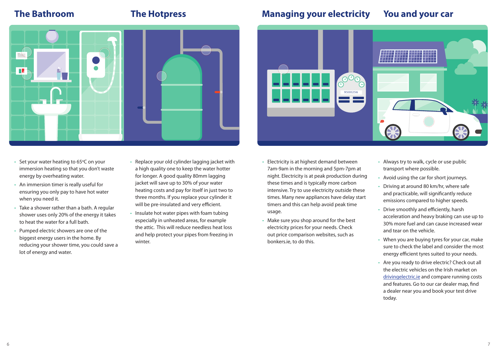

- Set your water heating to 65 $\degree$ C on your immersion heating so that you don't waste energy by overheating water.
- An immersion timer is really useful for ensuring you only pay to have hot water when you need it.
- Take a shower rather than a bath. A regular shower uses only 20% of the energy it takes to heat the water for a full bath.
- Pumped electric showers are one of the biggest energy users in the home. By reducing your shower time, you could save a lot of energy and water.
- Replace your old cylinder lagging jacket with a high quality one to keep the water hotter for longer. A good quality 80mm lagging jacket will save up to 30% of your water heating costs and pay for itself in just two to three months. If you replace your cylinder it will be pre-insulated and very efficient.
- Insulate hot water pipes with foam tubing especially in unheated areas, for example the attic. This will reduce needless heat loss and help protect your pipes from freezing in winter.

# **The Bathroom The Hotpress Managing your electricity You and your car**



- Electricity is at highest demand between 7am-9am in the morning and 5pm-7pm at night. Electricity is at peak production during these times and is typically more carbon intensive. Try to use electricity outside these times. Many new appliances have delay start timers and this can help avoid peak time usage.
- Make sure you shop around for the best electricity prices for your needs. Check out price comparison websites, such as bonkers.ie, to do this.
- Always try to walk, cycle or use public transport where possible.
- Avoid using the car for short journeys.
- Driving at around 80 km/hr, where safe and practicable, will significantly reduce emissions compared to higher speeds.
- Drive smoothly and efficiently, harsh acceleration and heavy braking can use up to 30% more fuel and can cause increased wear and tear on the vehicle.
- When you are buying tyres for your car, make sure to check the label and consider the most energy efficient tyres suited to your needs.
- Are you ready to drive electric? Check out all the electric vehicles on the Irish market on drivingelectric.ie and compare running costs and features. Go to our car dealer map, find a dealer near you and book your test drive today.